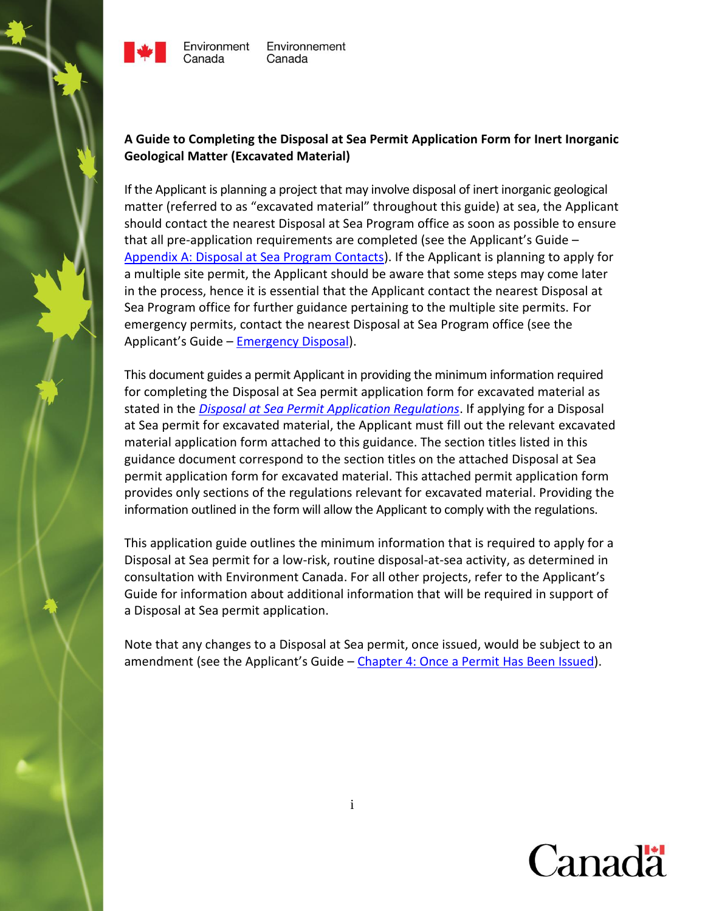

Canada

# **A Guide to Completing the Disposal at Sea Permit Application Form for Inert Inorganic Geological Matter (Excavated Material)**

If the Applicant is planning a project that may involve disposal of inert inorganic geological matter (referred to as "excavated material" throughout this guide) at sea, the Applicant should contact the nearest Disposal at Sea Program office as soon as possible to ensure that all pre-application requirements are completed (see the Applicant's Guide – Appendix A: [Disposal at Sea Program Contacts\)](http://www.ec.gc.ca/iem-das/default.asp?lang=En&n=765CBF3C-1). If the Applicant is planning to apply for a multiple site permit, the Applicant should be aware that some steps may come later in the process, hence it is essential that the Applicant contact the nearest Disposal at Sea Program office for further guidance pertaining to the multiple site permits. For emergency permits, contact the nearest Disposal at Sea Program office (see the Applicant's Guide - [Emergency Disposal\)](http://www.ec.gc.ca/iem-das/default.asp?lang=En&n=1AC4892D-1).

This document guides a permit Applicant in providing the minimum information required for completing the Disposal at Sea permit application form for excavated material as stated in the *[Disposal at Sea Permit Application Regulations](http://ec.gc.ca/lcpe-cepa/eng/regulations/DetailReg.cfm?intReg=219)*. If applying for a Disposal at Sea permit for excavated material, the Applicant must fill out the relevant excavated material application form attached to this guidance. The section titles listed in this guidance document correspond to the section titles on the attached Disposal at Sea permit application form for excavated material. This attached permit application form provides only sections of the regulations relevant for excavated material. Providing the information outlined in the form will allow the Applicant to comply with the regulations.

This application guide outlines the minimum information that is required to apply for a Disposal at Sea permit for a low-risk, routine disposal-at-sea activity, as determined in consultation with Environment Canada. For all other projects, refer to the Applicant's Guide for information about additional information that will be required in support of a Disposal at Sea permit application.

Note that any changes to a Disposal at Sea permit, once issued, would be subject to an amendment (see the Applicant's Guide – [Chapter 4: Once a Permit Has Been Issued\)](http://www.ec.gc.ca/iem-das/default.asp?lang=En&n=075F6F1B-1).

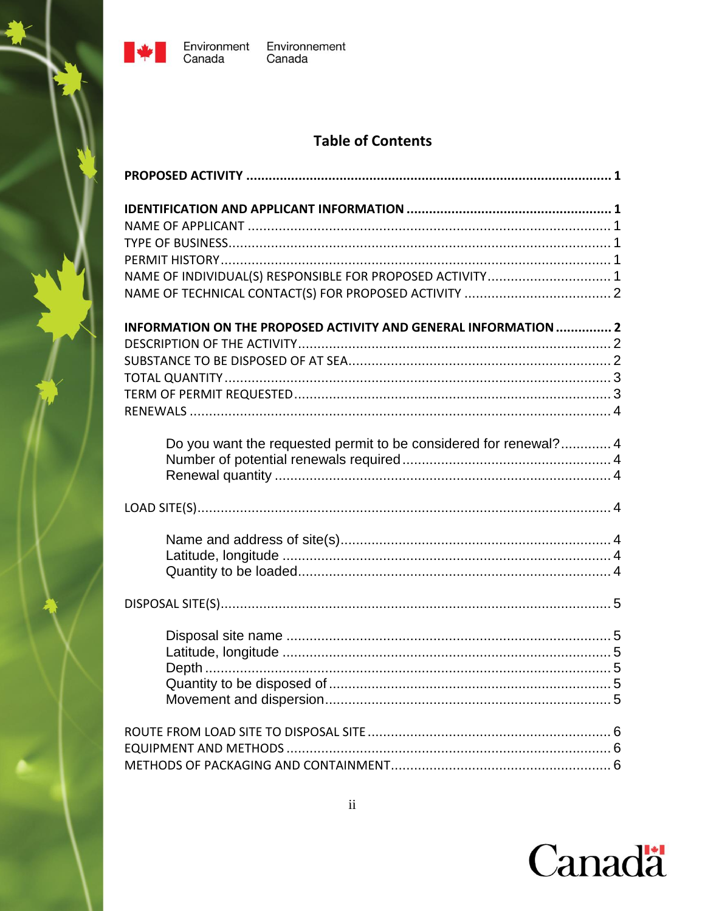

# **Table of Contents**

| NAME OF INDIVIDUAL(S) RESPONSIBLE FOR PROPOSED ACTIVITY 1        |
|------------------------------------------------------------------|
|                                                                  |
| INFORMATION ON THE PROPOSED ACTIVITY AND GENERAL INFORMATION  2  |
|                                                                  |
|                                                                  |
|                                                                  |
|                                                                  |
|                                                                  |
|                                                                  |
| Do you want the requested permit to be considered for renewal? 4 |
|                                                                  |
|                                                                  |
|                                                                  |
|                                                                  |
|                                                                  |
|                                                                  |
|                                                                  |
|                                                                  |
|                                                                  |
|                                                                  |
|                                                                  |
|                                                                  |
|                                                                  |
|                                                                  |
|                                                                  |
|                                                                  |
|                                                                  |

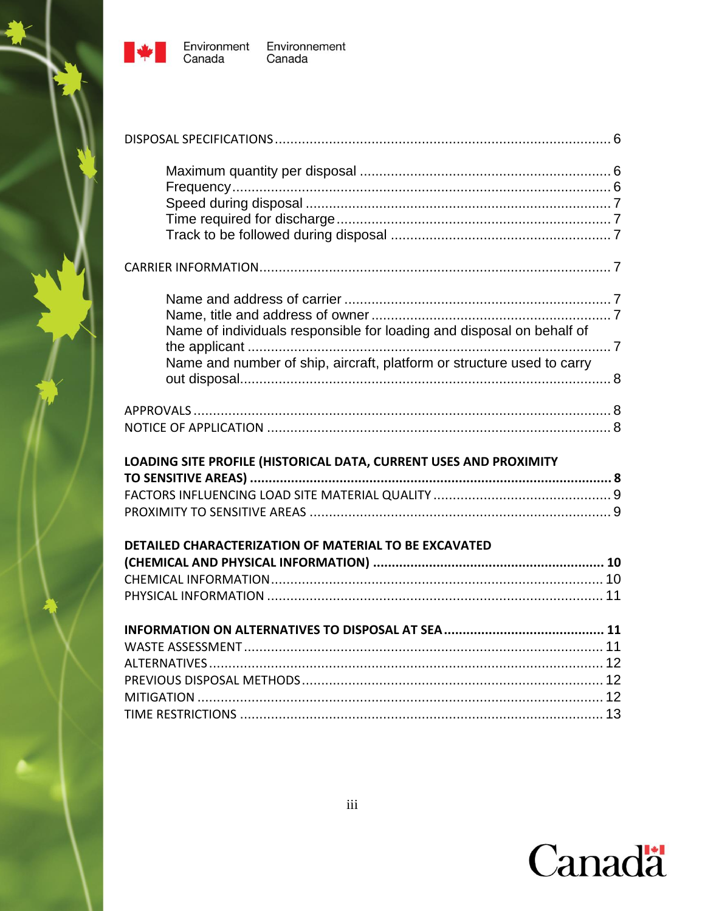

Environnement<br>Canada

| Name of individuals responsible for loading and disposal on behalf of<br>Name and number of ship, aircraft, platform or structure used to carry |  |
|-------------------------------------------------------------------------------------------------------------------------------------------------|--|
|                                                                                                                                                 |  |
| LOADING SITE PROFILE (HISTORICAL DATA, CURRENT USES AND PROXIMITY                                                                               |  |
|                                                                                                                                                 |  |
|                                                                                                                                                 |  |
| DETAILED CHARACTERIZATION OF MATERIAL TO BE EXCAVATED                                                                                           |  |
|                                                                                                                                                 |  |
|                                                                                                                                                 |  |
|                                                                                                                                                 |  |
|                                                                                                                                                 |  |
|                                                                                                                                                 |  |
|                                                                                                                                                 |  |
|                                                                                                                                                 |  |
|                                                                                                                                                 |  |
|                                                                                                                                                 |  |

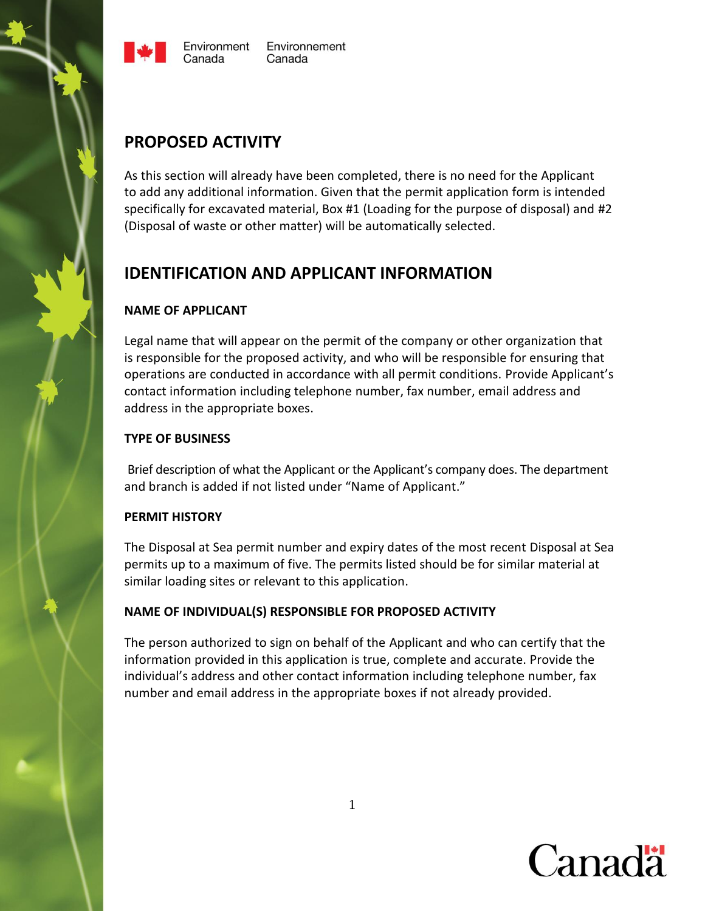



# <span id="page-3-0"></span>**PROPOSED ACTIVITY**

As this section will already have been completed, there is no need for the Applicant to add any additional information. Given that the permit application form is intended specifically for excavated material, Box #1 (Loading for the purpose of disposal) and #2 (Disposal of waste or other matter) will be automatically selected.

# <span id="page-3-1"></span>**IDENTIFICATION AND APPLICANT INFORMATION**

#### <span id="page-3-2"></span>**NAME OF APPLICANT**

Legal name that will appear on the permit of the company or other organization that is responsible for the proposed activity, and who will be responsible for ensuring that operations are conducted in accordance with all permit conditions. Provide Applicant's contact information including telephone number, fax number, email address and address in the appropriate boxes.

#### <span id="page-3-3"></span>**TYPE OF BUSINESS**

Brief description of what the Applicant or the Applicant's company does. The department and branch is added if not listed under "Name of Applicant."

#### <span id="page-3-4"></span>**PERMIT HISTORY**

The Disposal at Sea permit number and expiry dates of the most recent Disposal at Sea permits up to a maximum of five. The permits listed should be for similar material at similar loading sites or relevant to this application.

# <span id="page-3-5"></span>**NAME OF INDIVIDUAL(S) RESPONSIBLE FOR PROPOSED ACTIVITY**

The person authorized to sign on behalf of the Applicant and who can certify that the information provided in this application is true, complete and accurate. Provide the individual's address and other contact information including telephone number, fax number and email address in the appropriate boxes if not already provided.

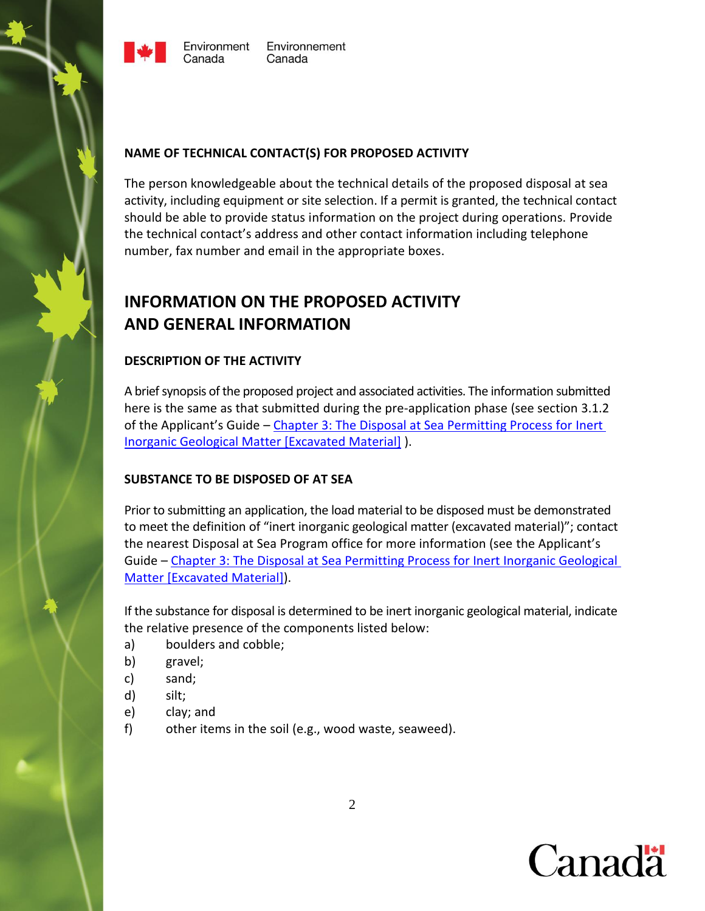



#### <span id="page-4-0"></span>**NAME OF TECHNICAL CONTACT(S) FOR PROPOSED ACTIVITY**

The person knowledgeable about the technical details of the proposed disposal at sea activity, including equipment or site selection. If a permit is granted, the technical contact should be able to provide status information on the project during operations. Provide the technical contact's address and other contact information including telephone number, fax number and email in the appropriate boxes.

# <span id="page-4-1"></span>**INFORMATION ON THE PROPOSED ACTIVITY AND GENERAL INFORMATION**

# <span id="page-4-2"></span>**DESCRIPTION OF THE ACTIVITY**

A brief synopsis of the proposed project and associated activities. The information submitted here is the same as that submitted during the pre-application phase (see section 3.1.2 of the Applicant's Guide – [Chapter 3: The Disposal at Sea Permitting Process for Inert](http://www.ec.gc.ca/iem-das/default.asp?lang=En&n=265D0BD4-1&offset=5&toc=show)  [Inorganic Geological Matter \[Excavated Material\]](http://www.ec.gc.ca/iem-das/default.asp?lang=En&n=265D0BD4-1&offset=5&toc=show) ).

# <span id="page-4-3"></span>**SUBSTANCE TO BE DISPOSED OF AT SEA**

Prior to submitting an application, the load material to be disposed must be demonstrated to meet the definition of "inert inorganic geological matter (excavated material)"; contact the nearest Disposal at Sea Program office for more information (see the Applicant's Guide – [Chapter 3: The Disposal at Sea Permitting Process for Inert Inorganic Geological](http://www.ec.gc.ca/iem-das/default.asp?lang=En&n=265D0BD4-1&offset=5&toc=show)  [Matter \[Excavated Material\]\)](http://www.ec.gc.ca/iem-das/default.asp?lang=En&n=265D0BD4-1&offset=5&toc=show).

If the substance for disposal is determined to be inert inorganic geological material, indicate the relative presence of the components listed below:

- a) boulders and cobble;
- b) gravel;
- c) sand;
- d) silt;
- e) clay; and
- f) other items in the soil (e.g., wood waste, seaweed).

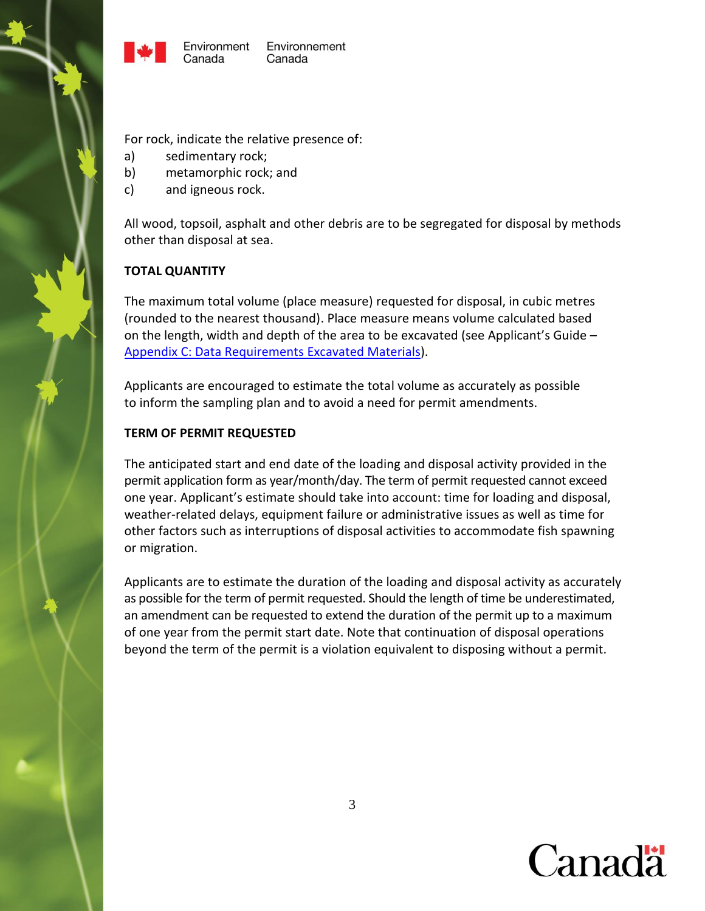



For rock, indicate the relative presence of:

- a) sedimentary rock;
- b) metamorphic rock; and
- c) and igneous rock.

All wood, topsoil, asphalt and other debris are to be segregated for disposal by methods other than disposal at sea.

#### <span id="page-5-0"></span>**TOTAL QUANTITY**

The maximum total volume (place measure) requested for disposal, in cubic metres (rounded to the nearest thousand). Place measure means volume calculated based on the length, width and depth of the area to be excavated (see Applicant's Guide – [Appendix C: Data Requirements](http://www.ec.gc.ca/iem-das/default.asp?lang=En&n=265D0BD4-1&offset=5&toc=show#X-201401090831221) Excavated Materials).

Applicants are encouraged to estimate the total volume as accurately as possible to inform the sampling plan and to avoid a need for permit amendments.

#### <span id="page-5-1"></span>**TERM OF PERMIT REQUESTED**

The anticipated start and end date of the loading and disposal activity provided in the permit application form as year/month/day. The term of permit requested cannot exceed one year. Applicant's estimate should take into account: time for loading and disposal, weather-related delays, equipment failure or administrative issues as well as time for other factors such as interruptions of disposal activities to accommodate fish spawning or migration.

Applicants are to estimate the duration of the loading and disposal activity as accurately as possible for the term of permit requested. Should the length of time be underestimated, an amendment can be requested to extend the duration of the permit up to a maximum of one year from the permit start date. Note that continuation of disposal operations beyond the term of the permit is a violation equivalent to disposing without a permit.

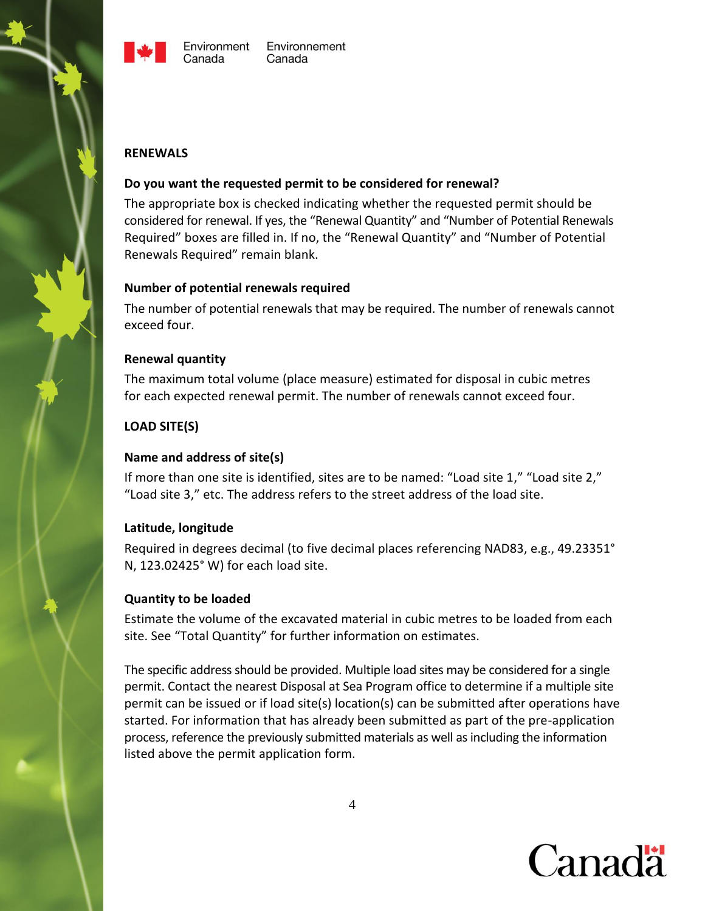



#### <span id="page-6-0"></span>**RENEWALS**

#### <span id="page-6-1"></span>**Do you want the requested permit to be considered for renewal?**

The appropriate box is checked indicating whether the requested permit should be considered for renewal. If yes, the "Renewal Quantity" and "Number of Potential Renewals Required" boxes are filled in. If no, the "Renewal Quantity" and "Number of Potential Renewals Required" remain blank.

#### <span id="page-6-2"></span>**Number of potential renewals required**

The number of potential renewals that may be required. The number of renewals cannot exceed four.

# <span id="page-6-3"></span>**Renewal quantity**

The maximum total volume (place measure) estimated for disposal in cubic metres for each expected renewal permit. The number of renewals cannot exceed four.

# <span id="page-6-4"></span>**LOAD SITE(S)**

#### <span id="page-6-5"></span>**Name and address of site(s)**

If more than one site is identified, sites are to be named: "Load site 1," "Load site 2," "Load site 3," etc. The address refers to the street address of the load site.

# <span id="page-6-6"></span>**Latitude, longitude**

Required in degrees decimal (to five decimal places referencing NAD83, e.g., 49.23351° N, 123.02425° W) for each load site.

#### <span id="page-6-7"></span>**Quantity to be loaded**

Estimate the volume of the excavated material in cubic metres to be loaded from each site. See "Total Quantity" for further information on estimates.

The specific address should be provided. Multiple load sites may be considered for a single permit. Contact the nearest Disposal at Sea Program office to determine if a multiple site permit can be issued or if load site(s) location(s) can be submitted after operations have started. For information that has already been submitted as part of the pre-application process, reference the previously submitted materials as well as including the information listed above the permit application form.

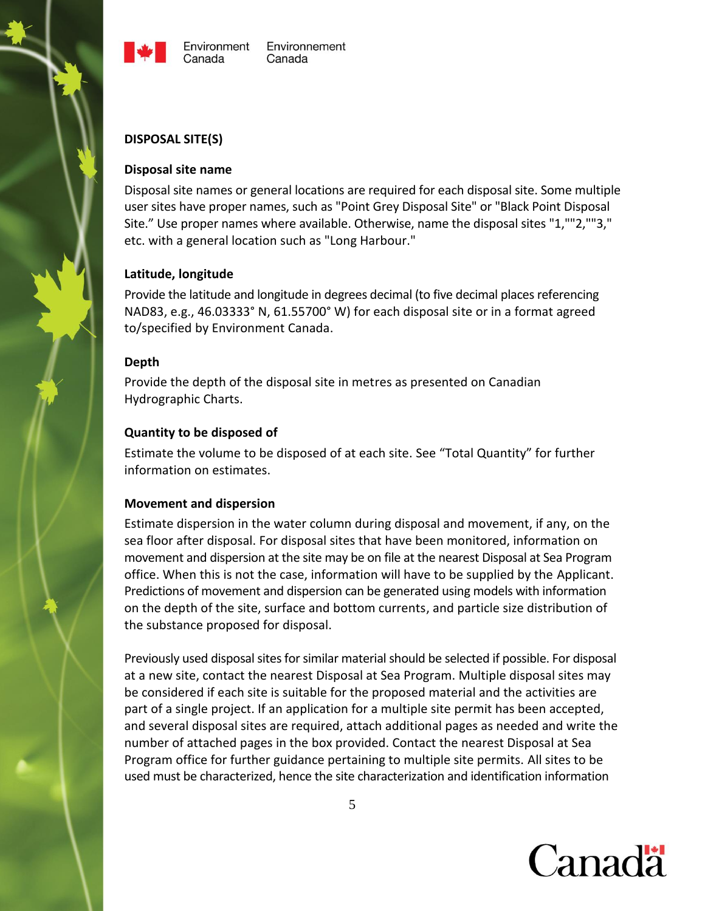

#### <span id="page-7-0"></span>**DISPOSAL SITE(S)**

#### <span id="page-7-1"></span>**Disposal site name**

Disposal site names or general locations are required for each disposal site. Some multiple user sites have proper names, such as "Point Grey Disposal Site" or "Black Point Disposal Site." Use proper names where available. Otherwise, name the disposal sites "1,""2,""3," etc. with a general location such as "Long Harbour."

#### <span id="page-7-2"></span>**Latitude, longitude**

Provide the latitude and longitude in degrees decimal (to five decimal places referencing NAD83, e.g., 46.03333° N, 61.55700° W) for each disposal site or in a format agreed to/specified by Environment Canada.

#### <span id="page-7-3"></span>**Depth**

Provide the depth of the disposal site in metres as presented on Canadian Hydrographic Charts.

#### <span id="page-7-4"></span>**Quantity to be disposed of**

Estimate the volume to be disposed of at each site. See "Total Quantity" for further information on estimates.

#### <span id="page-7-5"></span>**Movement and dispersion**

Estimate dispersion in the water column during disposal and movement, if any, on the sea floor after disposal. For disposal sites that have been monitored, information on movement and dispersion at the site may be on file at the nearest Disposal at Sea Program office. When this is not the case, information will have to be supplied by the Applicant. Predictions of movement and dispersion can be generated using models with information on the depth of the site, surface and bottom currents, and particle size distribution of the substance proposed for disposal.

Previously used disposal sites for similar material should be selected if possible. For disposal at a new site, contact the nearest Disposal at Sea Program. Multiple disposal sites may be considered if each site is suitable for the proposed material and the activities are part of a single project. If an application for a multiple site permit has been accepted, and several disposal sites are required, attach additional pages as needed and write the number of attached pages in the box provided. Contact the nearest Disposal at Sea Program office for further guidance pertaining to multiple site permits. All sites to be used must be characterized, hence the site characterization and identification information

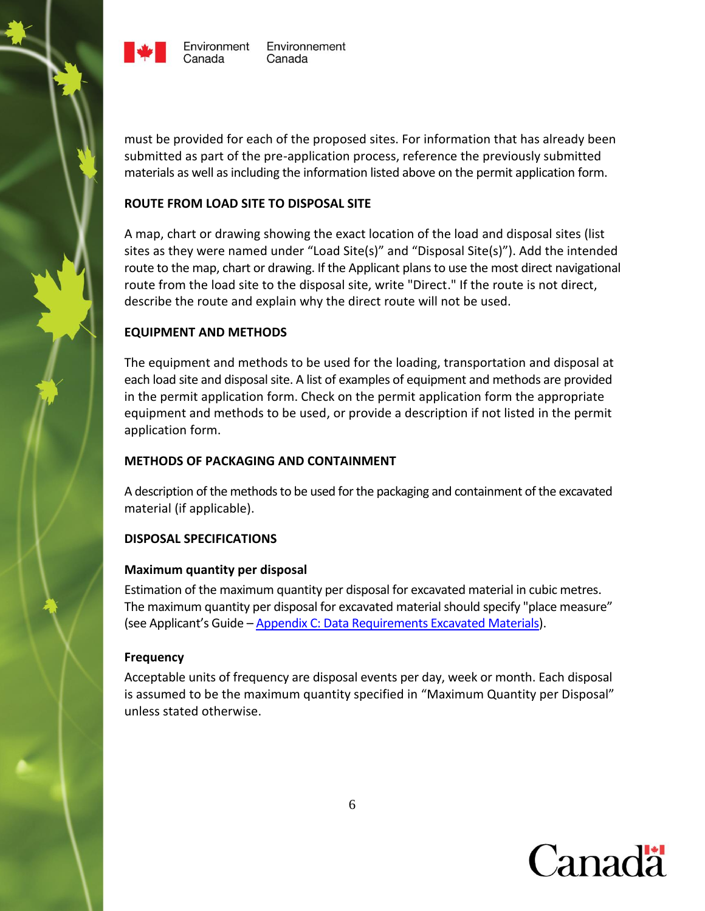

must be provided for each of the proposed sites. For information that has already been submitted as part of the pre-application process, reference the previously submitted materials as well as including the information listed above on the permit application form.

# <span id="page-8-0"></span>**ROUTE FROM LOAD SITE TO DISPOSAL SITE**

A map, chart or drawing showing the exact location of the load and disposal sites (list sites as they were named under "Load Site(s)" and "Disposal Site(s)"). Add the intended route to the map, chart or drawing. If the Applicant plans to use the most direct navigational route from the load site to the disposal site, write "Direct." If the route is not direct, describe the route and explain why the direct route will not be used.

# <span id="page-8-1"></span>**EQUIPMENT AND METHODS**

The equipment and methods to be used for the loading, transportation and disposal at each load site and disposal site. A list of examples of equipment and methods are provided in the permit application form. Check on the permit application form the appropriate equipment and methods to be used, or provide a description if not listed in the permit application form.

# <span id="page-8-2"></span>**METHODS OF PACKAGING AND CONTAINMENT**

A description of the methods to be used for the packaging and containment of the excavated material (if applicable).

# <span id="page-8-3"></span>**DISPOSAL SPECIFICATIONS**

# <span id="page-8-4"></span>**Maximum quantity per disposal**

Estimation of the maximum quantity per disposal for excavated material in cubic metres. The maximum quantity per disposal for excavated material should specify "place measure" (see Applicant's Guide – [Appendix C: Data Requirements Excavated Materials\)](http://www.ec.gc.ca/iem-das/default.asp?lang=En&n=265D0BD4-1&offset=5&toc=show#X-201401090831221).

# <span id="page-8-5"></span>**Frequency**

<span id="page-8-6"></span>Acceptable units of frequency are disposal events per day, week or month. Each disposal is assumed to be the maximum quantity specified in "Maximum Quantity per Disposal" unless stated otherwise.

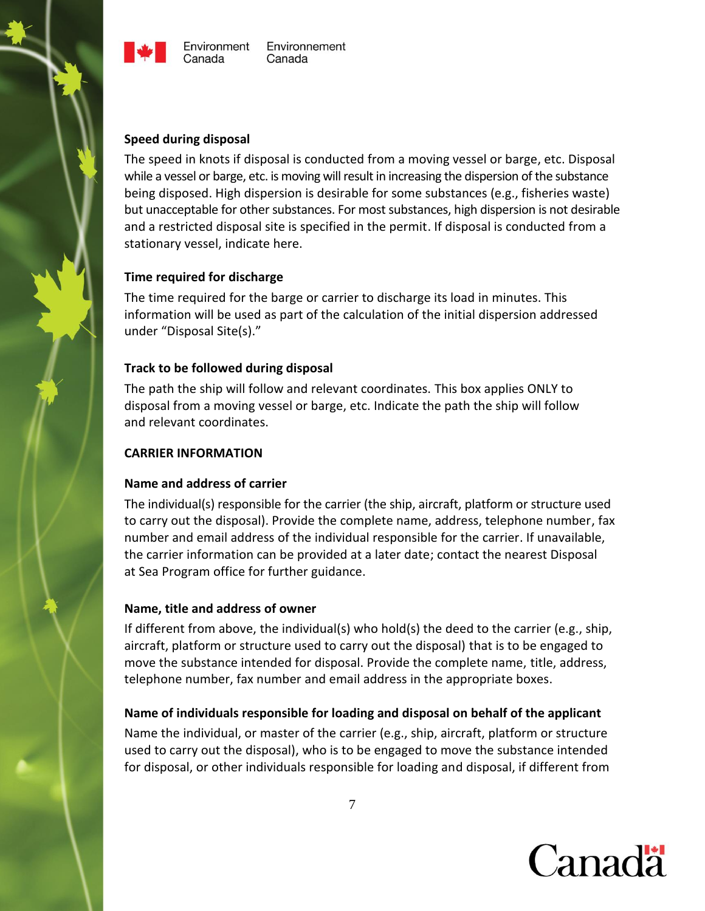



# Environnement

#### **Speed during disposal**

The speed in knots if disposal is conducted from a moving vessel or barge, etc. Disposal while a vessel or barge, etc. is moving will result in increasing the dispersion of the substance being disposed. High dispersion is desirable for some substances (e.g., fisheries waste) but unacceptable for other substances. For most substances, high dispersion is not desirable and a restricted disposal site is specified in the permit. If disposal is conducted from a stationary vessel, indicate here.

#### <span id="page-9-0"></span>**Time required for discharge**

The time required for the barge or carrier to discharge its load in minutes. This information will be used as part of the calculation of the initial dispersion addressed under "Disposal Site(s)."

#### <span id="page-9-1"></span>**Track to be followed during disposal**

The path the ship will follow and relevant coordinates. This box applies ONLY to disposal from a moving vessel or barge, etc. Indicate the path the ship will follow and relevant coordinates.

#### <span id="page-9-2"></span>**CARRIER INFORMATION**

# <span id="page-9-3"></span>**Name and address of carrier**

The individual(s) responsible for the carrier (the ship, aircraft, platform or structure used to carry out the disposal). Provide the complete name, address, telephone number, fax number and email address of the individual responsible for the carrier. If unavailable, the carrier information can be provided at a later date; contact the nearest Disposal at Sea Program office for further guidance.

# <span id="page-9-4"></span>**Name, title and address of owner**

If different from above, the individual(s) who hold(s) the deed to the carrier (e.g., ship, aircraft, platform or structure used to carry out the disposal) that is to be engaged to move the substance intended for disposal. Provide the complete name, title, address, telephone number, fax number and email address in the appropriate boxes.

# <span id="page-9-5"></span>**Name of individuals responsible for loading and disposal on behalf of the applicant**

Name the individual, or master of the carrier (e.g., ship, aircraft, platform or structure used to carry out the disposal), who is to be engaged to move the substance intended for disposal, or other individuals responsible for loading and disposal, if different from

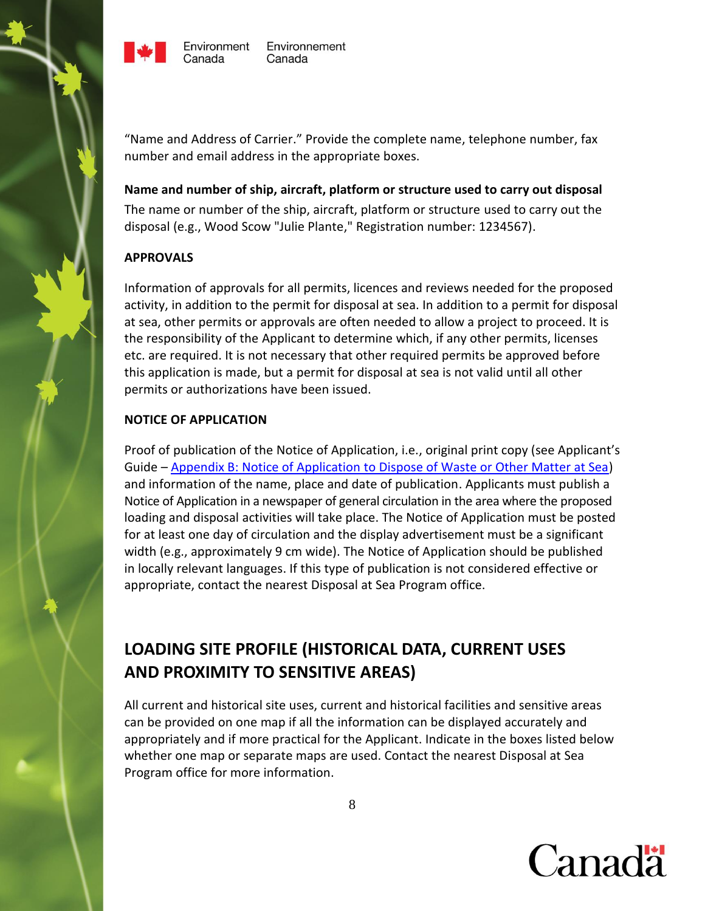

"Name and Address of Carrier." Provide the complete name, telephone number, fax number and email address in the appropriate boxes.

#### <span id="page-10-0"></span>**Name and number of ship, aircraft, platform or structure used to carry out disposal**

The name or number of the ship, aircraft, platform or structure used to carry out the disposal (e.g., Wood Scow "Julie Plante," Registration number: 1234567).

# <span id="page-10-1"></span>**APPROVALS**

Information of approvals for all permits, licences and reviews needed for the proposed activity, in addition to the permit for disposal at sea. In addition to a permit for disposal at sea, other permits or approvals are often needed to allow a project to proceed. It is the responsibility of the Applicant to determine which, if any other permits, licenses etc. are required. It is not necessary that other required permits be approved before this application is made, but a permit for disposal at sea is not valid until all other permits or authorizations have been issued.

# <span id="page-10-2"></span>**NOTICE OF APPLICATION**

Proof of publication of the Notice of Application, i.e., original print copy (see Applicant's Guide – [Appendix B: Notice of Application to Dispose of Waste or Other Matter at Sea\)](http://www.ec.gc.ca/iem-das/default.asp?lang=En&n=2B113224-1) and information of the name, place and date of publication. Applicants must publish a Notice of Application in a newspaper of general circulation in the area where the proposed loading and disposal activities will take place. The Notice of Application must be posted for at least one day of circulation and the display advertisement must be a significant width (e.g., approximately 9 cm wide). The Notice of Application should be published in locally relevant languages. If this type of publication is not considered effective or appropriate, contact the nearest Disposal at Sea Program office.

# <span id="page-10-3"></span>**LOADING SITE PROFILE (HISTORICAL DATA, CURRENT USES AND PROXIMITY TO SENSITIVE AREAS)**

All current and historical site uses, current and historical facilities and sensitive areas can be provided on one map if all the information can be displayed accurately and appropriately and if more practical for the Applicant. Indicate in the boxes listed below whether one map or separate maps are used. Contact the nearest Disposal at Sea Program office for more information.

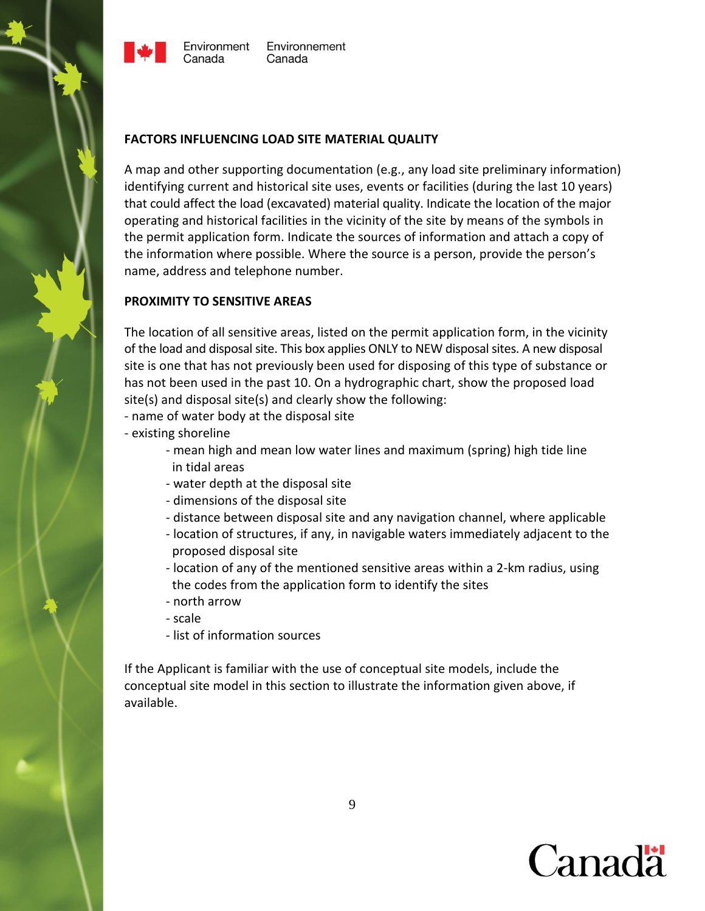



#### <span id="page-11-0"></span>**FACTORS INFLUENCING LOAD SITE MATERIAL QUALITY**

A map and other supporting documentation (e.g., any load site preliminary information) identifying current and historical site uses, events or facilities (during the last 10 years) that could affect the load (excavated) material quality. Indicate the location of the major operating and historical facilities in the vicinity of the site by means of the symbols in the permit application form. Indicate the sources of information and attach a copy of the information where possible. Where the source is a person, provide the person's name, address and telephone number.

#### <span id="page-11-1"></span>**PROXIMITY TO SENSITIVE AREAS**

The location of all sensitive areas, listed on the permit application form, in the vicinity of the load and disposal site. This box applies ONLY to NEW disposal sites. A new disposal site is one that has not previously been used for disposing of this type of substance or has not been used in the past 10. On a hydrographic chart, show the proposed load site(s) and disposal site(s) and clearly show the following:

- name of water body at the disposal site
- existing shoreline
	- mean high and mean low water lines and maximum (spring) high tide line in tidal areas
	- water depth at the disposal site
	- dimensions of the disposal site
	- distance between disposal site and any navigation channel, where applicable
	- location of structures, if any, in navigable waters immediately adjacent to the proposed disposal site
	- location of any of the mentioned sensitive areas within a 2-km radius, using the codes from the application form to identify the sites
	- north arrow
	- scale
	- list of information sources

If the Applicant is familiar with the use of conceptual site models, include the conceptual site model in this section to illustrate the information given above, if available.

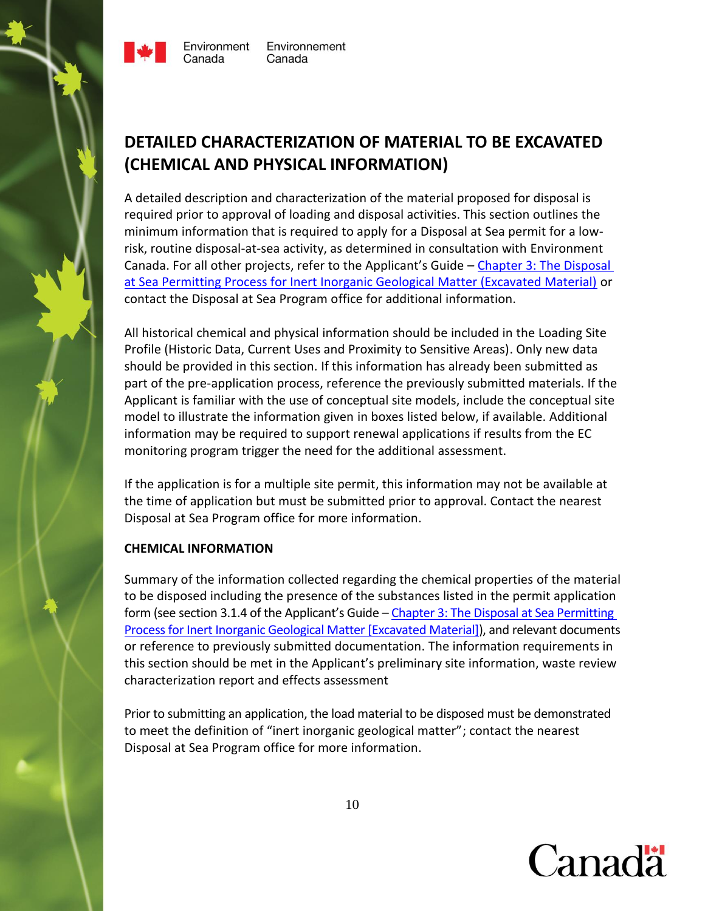

Environment Canada

# <span id="page-12-0"></span>**DETAILED CHARACTERIZATION OF MATERIAL TO BE EXCAVATED (CHEMICAL AND PHYSICAL INFORMATION)**

A detailed description and characterization of the material proposed for disposal is required prior to approval of loading and disposal activities. This section outlines the minimum information that is required to apply for a Disposal at Sea permit for a lowrisk, routine disposal-at-sea activity, as determined in consultation with Environment Canada. For all other projects, refer to the Applicant's Guide - Chapter 3: The Disposal [at Sea Permitting Process for Inert Inorganic Geological Matter \(Excavated Material\)](http://greenlanedev2.ncr.ec.gc.ca/iem-das/default.asp?lang=En&n=265D0BD4-1&offset=5&toc=show) or contact the Disposal at Sea Program office for additional information.

All historical chemical and physical information should be included in the Loading Site Profile (Historic Data, Current Uses and Proximity to Sensitive Areas). Only new data should be provided in this section. If this information has already been submitted as part of the pre-application process, reference the previously submitted materials. If the Applicant is familiar with the use of conceptual site models, include the conceptual site model to illustrate the information given in boxes listed below, if available. Additional information may be required to support renewal applications if results from the EC monitoring program trigger the need for the additional assessment.

If the application is for a multiple site permit, this information may not be available at the time of application but must be submitted prior to approval. Contact the nearest Disposal at Sea Program office for more information.

# <span id="page-12-1"></span>**CHEMICAL INFORMATION**

Summary of the information collected regarding the chemical properties of the material to be disposed including the presence of the substances listed in the permit application form (see section 3.1.4 of the Applicant's Guide – Chapter 3: The Disposal at Sea Permitting [Process for Inert Inorganic Geological Matter \[Excavated Material\]\)](http://www.ec.gc.ca/iem-das/default.asp?lang=En&n=265D0BD4-1&offset=5&toc=show), and relevant documents or reference to previously submitted documentation. The information requirements in this section should be met in the Applicant's preliminary site information, waste review characterization report and effects assessment

Prior to submitting an application, the load material to be disposed must be demonstrated to meet the definition of "inert inorganic geological matter"; contact the nearest Disposal at Sea Program office for more information.

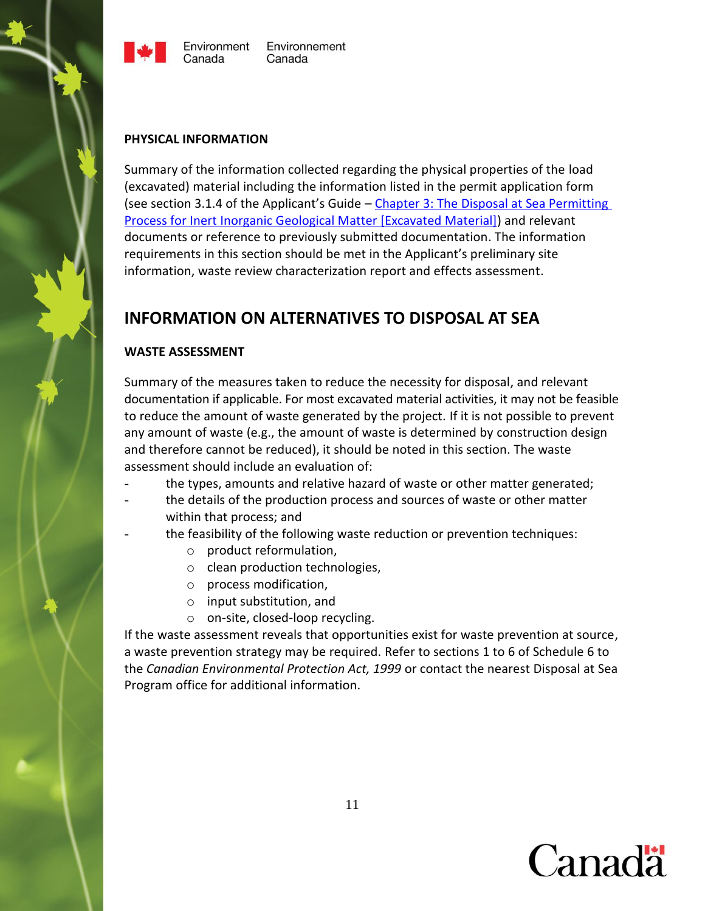

#### <span id="page-13-0"></span>**PHYSICAL INFORMATION**

Summary of the information collected regarding the physical properties of the load (excavated) material including the information listed in the permit application form (see section 3.1.4 of the Applicant's Guide – [Chapter 3: The Disposal at Sea Permitting](http://www.ec.gc.ca/iem-das/default.asp?lang=En&n=265D0BD4-1&offset=5&toc=show)  [Process for Inert Inorganic Geological Matter \[Excavated Material\]\)](http://www.ec.gc.ca/iem-das/default.asp?lang=En&n=265D0BD4-1&offset=5&toc=show) and relevant documents or reference to previously submitted documentation. The information requirements in this section should be met in the Applicant's preliminary site information, waste review characterization report and effects assessment.

# <span id="page-13-1"></span>**INFORMATION ON ALTERNATIVES TO DISPOSAL AT SEA**

# <span id="page-13-2"></span>**WASTE ASSESSMENT**

Summary of the measures taken to reduce the necessity for disposal, and relevant documentation if applicable. For most excavated material activities, it may not be feasible to reduce the amount of waste generated by the project. If it is not possible to prevent any amount of waste (e.g., the amount of waste is determined by construction design and therefore cannot be reduced), it should be noted in this section. The waste assessment should include an evaluation of:

- the types, amounts and relative hazard of waste or other matter generated;
- the details of the production process and sources of waste or other matter within that process; and
- the feasibility of the following waste reduction or prevention techniques:
	- o product reformulation,
	- o clean production technologies,
	- o process modification,
	- o input substitution, and
	- o on-site, closed-loop recycling.

If the waste assessment reveals that opportunities exist for waste prevention at source, a waste prevention strategy may be required. Refer to sections 1 to 6 of Schedule 6 to the *Canadian Environmental Protection Act, 1999* or contact the nearest Disposal at Sea Program office for additional information.

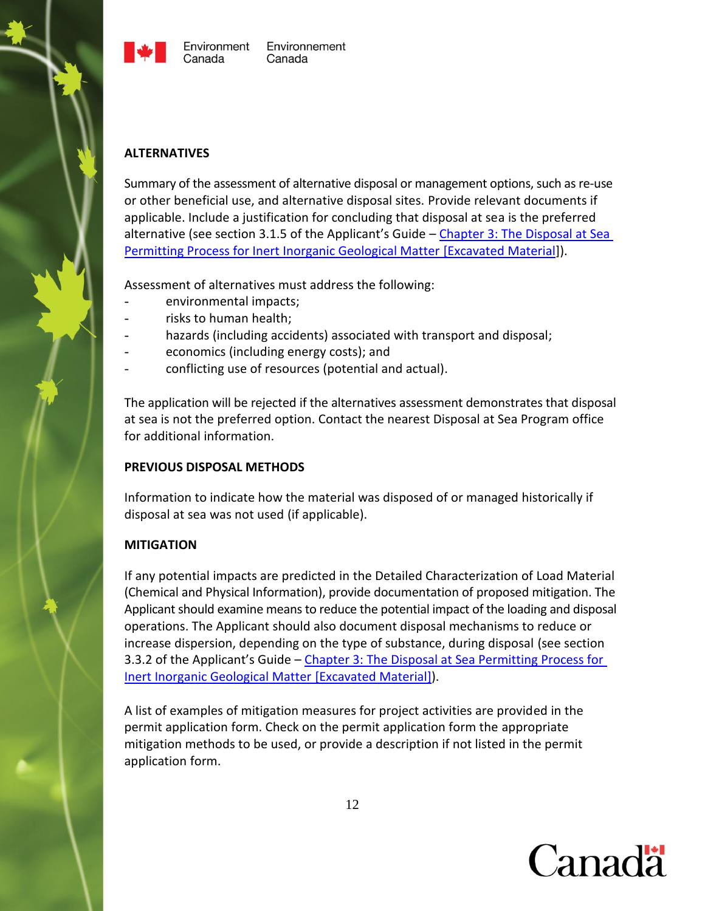



#### <span id="page-14-0"></span>**ALTERNATIVES**

Summary of the assessment of alternative disposal or management options, such as re-use or other beneficial use, and alternative disposal sites. Provide relevant documents if applicable. Include a justification for concluding that disposal at sea is the preferred alternative (see section 3.1.5 of the Applicant's Guide – [Chapter 3: The Disposal at Sea](http://www.ec.gc.ca/iem-das/default.asp?lang=En&n=265D0BD4-1&offset=5&toc=show)  [Permitting Process for Inert Inorganic Geological Matter \[Excavated Material\]](http://www.ec.gc.ca/iem-das/default.asp?lang=En&n=265D0BD4-1&offset=5&toc=show)).

Assessment of alternatives must address the following:

- environmental impacts;
- risks to human health;
- hazards (including accidents) associated with transport and disposal;
- economics (including energy costs); and
- conflicting use of resources (potential and actual).

The application will be rejected if the alternatives assessment demonstrates that disposal at sea is not the preferred option. Contact the nearest Disposal at Sea Program office for additional information.

#### <span id="page-14-1"></span>**PREVIOUS DISPOSAL METHODS**

Information to indicate how the material was disposed of or managed historically if disposal at sea was not used (if applicable).

#### <span id="page-14-2"></span>**MITIGATION**

If any potential impacts are predicted in the Detailed Characterization of Load Material (Chemical and Physical Information), provide documentation of proposed mitigation. The Applicant should examine means to reduce the potential impact of the loading and disposal operations. The Applicant should also document disposal mechanisms to reduce or increase dispersion, depending on the type of substance, during disposal (see section 3.3.2 of the Applicant's Guide – [Chapter 3: The Disposal at Sea Permitting Process for](http://www.ec.gc.ca/iem-das/default.asp?lang=En&n=265D0BD4-1&offset=5&toc=show)  [Inert Inorganic Geological Matter \[Excavated Material\]\)](http://www.ec.gc.ca/iem-das/default.asp?lang=En&n=265D0BD4-1&offset=5&toc=show).

A list of examples of mitigation measures for project activities are provided in the permit application form. Check on the permit application form the appropriate mitigation methods to be used, or provide a description if not listed in the permit application form.